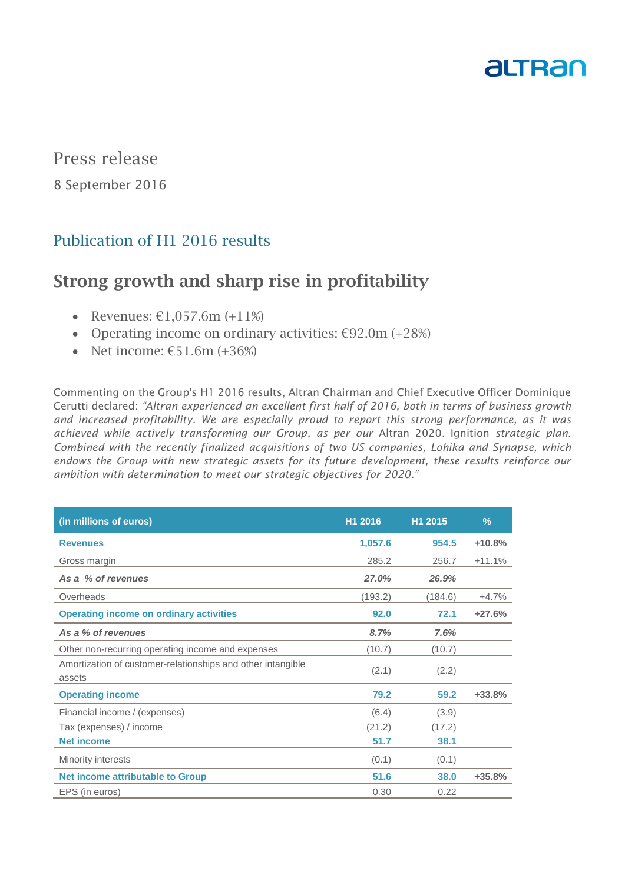

Press release

8 September 2016

# Publication of H1 2016 results

# Strong growth and sharp rise in profitability

- Revenues:  $£1.057.6m (+11%)$
- Operating income on ordinary activities:  $€92.0m (+28%)$
- Net income:  $£51.6m (+36%)$

Commenting on the Group's H1 2016 results, Altran Chairman and Chief Executive Officer Dominique Cerutti declared: *"Altran experienced an excellent first half of 2016, both in terms of business growth and increased profitability. We are especially proud to report this strong performance, as it was achieved while actively transforming our Group, as per our* Altran 2020. Ignition *strategic plan. Combined with the recently finalized acquisitions of two US companies, Lohika and Synapse, which endows the Group with new strategic assets for its future development, these results reinforce our ambition with determination to meet our strategic objectives for 2020."*

| (in millions of euros)                                                | H1 2016 | H1 2015 | $\frac{9}{6}$ |
|-----------------------------------------------------------------------|---------|---------|---------------|
| <b>Revenues</b>                                                       | 1,057.6 | 954.5   | $+10.8%$      |
| Gross margin                                                          | 285.2   | 256.7   | $+11.1%$      |
| As a % of revenues                                                    | 27.0%   | 26.9%   |               |
| Overheads                                                             | (193.2) | (184.6) | $+4.7%$       |
| <b>Operating income on ordinary activities</b>                        | 92.0    | 72.1    | $+27.6%$      |
| As a % of revenues                                                    | 8.7%    | 7.6%    |               |
| Other non-recurring operating income and expenses                     | (10.7)  | (10.7)  |               |
| Amortization of customer-relationships and other intangible<br>assets | (2.1)   | (2.2)   |               |
| <b>Operating income</b>                                               | 79.2    | 59.2    | $+33.8%$      |
| Financial income / (expenses)                                         | (6.4)   | (3.9)   |               |
| Tax (expenses) / income                                               | (21.2)  | (17.2)  |               |
| <b>Net income</b>                                                     | 51.7    | 38.1    |               |
| Minority interests                                                    | (0.1)   | (0.1)   |               |
| <b>Net income attributable to Group</b>                               | 51.6    | 38.0    | $+35.8%$      |
| EPS (in euros)                                                        | 0.30    | 0.22    |               |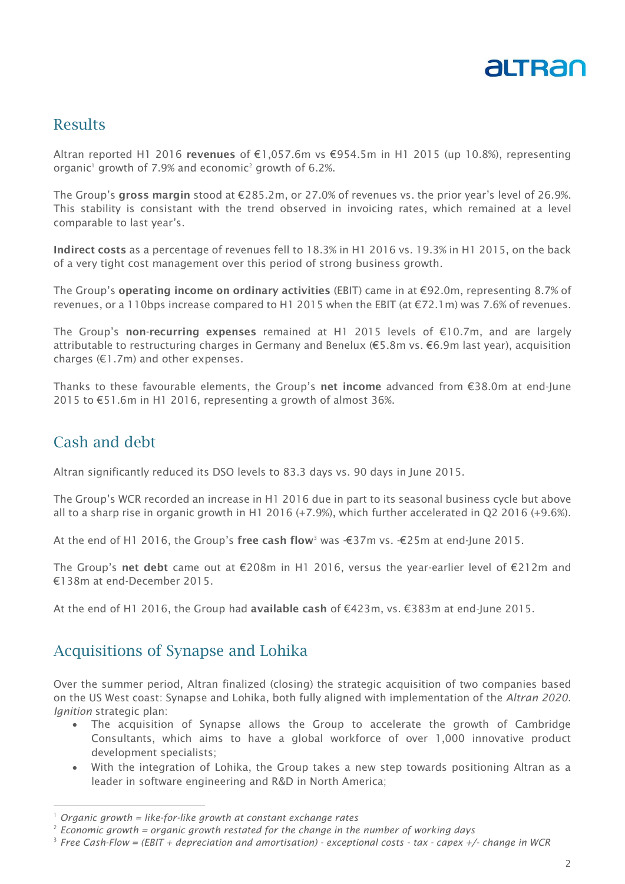

### Results

Altran reported H1 2016 revenues of €1,057.6m vs €954.5m in H1 2015 (up 10.8%), representing organic<sup>1</sup> growth of 7.9% and economic<sup>2</sup> growth of 6.2%.

The Group's gross margin stood at €285.2m, or 27.0% of revenues vs. the prior year's level of 26.9%. This stability is consistant with the trend observed in invoicing rates, which remained at a level comparable to last year's.

Indirect costs as a percentage of revenues fell to 18.3% in H1 2016 vs. 19.3% in H1 2015, on the back of a very tight cost management over this period of strong business growth.

The Group's operating income on ordinary activities (EBIT) came in at €92.0m, representing 8.7% of revenues, or a 110bps increase compared to H1 2015 when the EBIT (at  $\epsilon$ 72.1m) was 7.6% of revenues.

The Group's non-recurring expenses remained at H1 2015 levels of  $E$ 10.7m, and are largely attributable to restructuring charges in Germany and Benelux (€5.8m vs. €6.9m last year), acquisition charges (€1.7m) and other expenses.

Thanks to these favourable elements, the Group's net income advanced from €38.0m at end-June 2015 to €51.6m in H1 2016, representing a growth of almost 36%.

## Cash and debt

-

Altran significantly reduced its DSO levels to 83.3 days vs. 90 days in June 2015.

The Group's WCR recorded an increase in H1 2016 due in part to its seasonal business cycle but above all to a sharp rise in organic growth in H1 2016 (+7.9%), which further accelerated in Q2 2016 (+9.6%).

At the end of H1 2016, the Group's free cash flow<sup>3</sup> was  $-\epsilon$ 37m vs.  $-\epsilon$ 25m at end-June 2015.

The Group's net debt came out at €208m in H1 2016, versus the year-earlier level of €212m and €138m at end-December 2015.

At the end of H1 2016, the Group had available cash of €423m, vs. €383m at end-June 2015.

#### Acquisitions of Synapse and Lohika

Over the summer period, Altran finalized (closing) the strategic acquisition of two companies based on the US West coast: Synapse and Lohika, both fully aligned with implementation of the *Altran 2020. Ignition* strategic plan:

- The acquisition of Synapse allows the Group to accelerate the growth of Cambridge Consultants, which aims to have a global workforce of over 1,000 innovative product development specialists;
- With the integration of Lohika, the Group takes a new step towards positioning Altran as a leader in software engineering and R&D in North America;

<sup>1</sup> *Organic growth = like-for-like growth at constant exchange rates*

<sup>2</sup> *Economic growth = organic growth restated for the change in the number of working days*

<sup>3</sup> *Free Cash-Flow = (EBIT + depreciation and amortisation) - exceptional costs - tax - capex +/- change in WCR*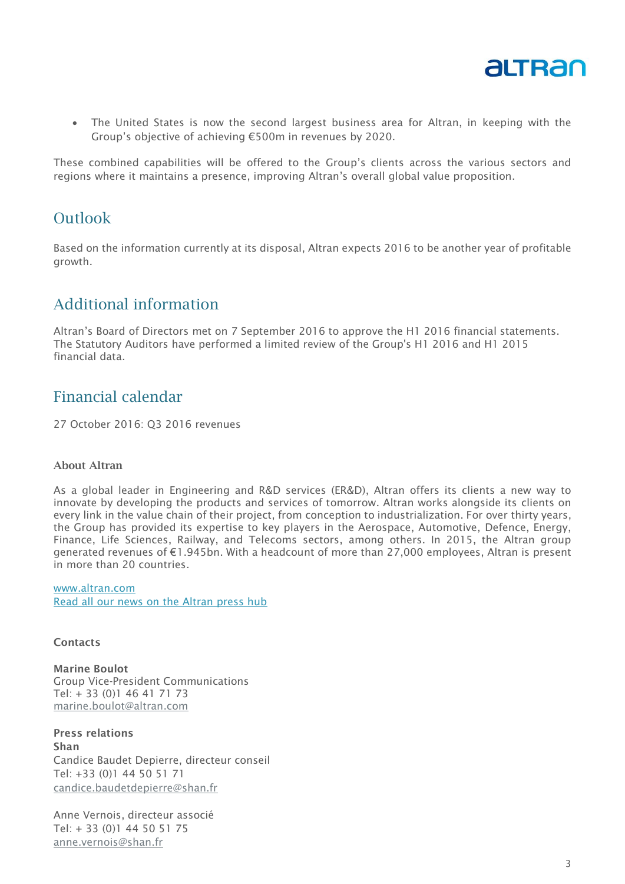

 The United States is now the second largest business area for Altran, in keeping with the Group's objective of achieving €500m in revenues by 2020.

These combined capabilities will be offered to the Group's clients across the various sectors and regions where it maintains a presence, improving Altran's overall global value proposition.

#### **Outlook**

Based on the information currently at its disposal, Altran expects 2016 to be another year of profitable growth.

## Additional information

Altran's Board of Directors met on 7 September 2016 to approve the H1 2016 financial statements. The Statutory Auditors have performed a limited review of the Group's H1 2016 and H1 2015 financial data.

## Financial calendar

27 October 2016: Q3 2016 revenues

#### About Altran

As a global leader in Engineering and R&D services (ER&D), Altran offers its clients a new way to innovate by developing the products and services of tomorrow. Altran works alongside its clients on every link in the value chain of their project, from conception to industrialization. For over thirty years, the Group has provided its expertise to key players in the Aerospace, Automotive, Defence, Energy, Finance, Life Sciences, Railway, and Telecoms sectors, among others. In 2015, the Altran group generated revenues of €1.945bn. With a headcount of more than 27,000 employees, Altran is present in more than 20 countries.

www.altran.com Read all our news on the Altran press hub

#### **Contacts**

Marine Boulot Group Vice-President Communications Tel: + 33 (0)1 46 41 71 73 [marine.boulot@altran.com](mailto:marine.boulot@altran.com)

Press relations Shan Candice Baudet Depierre, directeur conseil Tel: +33 (0)1 44 50 51 71 [candice.baudetdepierre@shan.fr](mailto:candice.baudetdepierre@shan.fr)

Anne Vernois, directeur associé Tel: + 33 (0)1 44 50 51 75 [anne.vernois@shan.fr](mailto:anne.vernois@shan.fr)